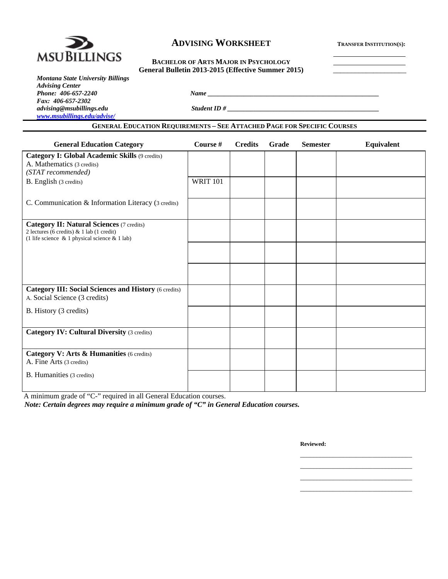

### **ADVISING WORKSHEET** TRANSFER INSTITUTION(S):

# General Bulletin 2013-2015 (Effective Summer 2015)

| <b>Montana State University Billings</b> |
|------------------------------------------|
| <b>Advising Center</b>                   |
| Phone: 406-657-2240                      |
| Fax: 406-657-2302                        |
| advising@msubillings.edu                 |
| www.msubillings.edu/advise/              |

*advising@msubillings.edu Student ID # \_\_\_\_\_\_\_\_\_\_\_\_\_\_\_\_\_\_\_\_\_\_\_\_\_\_\_\_\_\_\_\_\_\_\_\_\_\_\_\_\_\_\_\_\_\_* 

#### **GENERAL EDUCATION REQUIREMENTS – SEE ATTACHED PAGE FOR SPECIFIC COURSES**

*Phone: 406-657-2240 Name \_\_\_\_\_\_\_\_\_\_\_\_\_\_\_\_\_\_\_\_\_\_\_\_\_\_\_\_\_\_\_\_\_\_\_\_\_\_\_\_\_\_\_\_\_\_\_\_\_\_\_\_* 

| <b>General Education Category</b>                                                                                                                    | Course #        | <b>Credits</b> | Grade | <b>Semester</b> | Equivalent |  |  |
|------------------------------------------------------------------------------------------------------------------------------------------------------|-----------------|----------------|-------|-----------------|------------|--|--|
| Category I: Global Academic Skills (9 credits)                                                                                                       |                 |                |       |                 |            |  |  |
| A. Mathematics (3 credits)                                                                                                                           |                 |                |       |                 |            |  |  |
| (STAT recommended)                                                                                                                                   |                 |                |       |                 |            |  |  |
| B. English (3 credits)                                                                                                                               | <b>WRIT 101</b> |                |       |                 |            |  |  |
|                                                                                                                                                      |                 |                |       |                 |            |  |  |
| C. Communication & Information Literacy (3 credits)                                                                                                  |                 |                |       |                 |            |  |  |
|                                                                                                                                                      |                 |                |       |                 |            |  |  |
| <b>Category II: Natural Sciences (7 credits)</b><br>2 lectures (6 credits) & 1 lab (1 credit)<br>(1 life science $\&$ 1 physical science $\&$ 1 lab) |                 |                |       |                 |            |  |  |
|                                                                                                                                                      |                 |                |       |                 |            |  |  |
|                                                                                                                                                      |                 |                |       |                 |            |  |  |
|                                                                                                                                                      |                 |                |       |                 |            |  |  |
|                                                                                                                                                      |                 |                |       |                 |            |  |  |
| <b>Category III: Social Sciences and History (6 credits)</b><br>A. Social Science (3 credits)                                                        |                 |                |       |                 |            |  |  |
| B. History (3 credits)                                                                                                                               |                 |                |       |                 |            |  |  |
|                                                                                                                                                      |                 |                |       |                 |            |  |  |
| <b>Category IV: Cultural Diversity (3 credits)</b>                                                                                                   |                 |                |       |                 |            |  |  |
|                                                                                                                                                      |                 |                |       |                 |            |  |  |
| Category V: Arts & Humanities (6 credits)                                                                                                            |                 |                |       |                 |            |  |  |
| A. Fine Arts (3 credits)                                                                                                                             |                 |                |       |                 |            |  |  |
| B. Humanities (3 credits)                                                                                                                            |                 |                |       |                 |            |  |  |
|                                                                                                                                                      |                 |                |       |                 |            |  |  |
| A minimum grade of "C-" required in all General Education courses.                                                                                   |                 |                |       |                 |            |  |  |
| Note: Certain degrees may require a minimum grade of " $C$ " in General Education courses.                                                           |                 |                |       |                 |            |  |  |

 $\mathcal{L}_\mathcal{L}$  , which is a set of the set of the set of the set of the set of the set of the set of the set of the set of the set of the set of the set of the set of the set of the set of the set of the set of the set of  $\mathcal{L}_\text{max}$  , and the contract of the contract of the contract of the contract of the contract of the contract of the contract of the contract of the contract of the contract of the contract of the contract of the contr  $\mathcal{L}_\mathcal{L}$  , which is a set of the set of the set of the set of the set of the set of the set of the set of the set of the set of the set of the set of the set of the set of the set of the set of the set of the set of  $\mathcal{L}_\mathcal{L}$  , which is a set of the set of the set of the set of the set of the set of the set of the set of the set of the set of the set of the set of the set of the set of the set of the set of the set of the set of

*Note: Certain degrees may require a minimum grade of "C" in General Education courses.* 

**Reviewed:**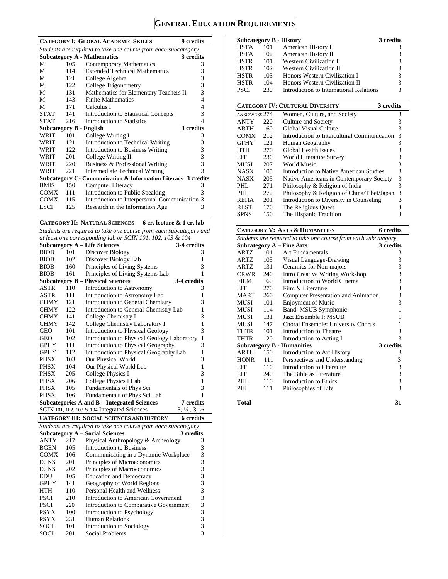## **GENERAL EDUCATION REQUIREMENTS**

|             |      | 9 credits<br><b>CATEGORY I: GLOBAL ACADEMIC SKILLS</b>         |   |
|-------------|------|----------------------------------------------------------------|---|
|             |      | Students are required to take one course from each subcategory |   |
|             |      | <b>Subcategory A - Mathematics</b><br>3 credits                |   |
| M           | 105  | Contemporary Mathematics                                       | 3 |
| M           | 114  | <b>Extended Technical Mathematics</b>                          | 3 |
| М           | 121  | College Algebra                                                | 3 |
| M           | 122  | College Trigonometry                                           | 3 |
| М           | 131  | Mathematics for Elementary Teachers II                         | 3 |
| M           | 143  | <b>Finite Mathematics</b>                                      | 4 |
| М           | 171  | Calculus I                                                     | 4 |
| <b>STAT</b> | 141  | <b>Introduction to Statistical Concepts</b>                    | 3 |
| <b>STAT</b> | 216  | Introduction to Statistics                                     | 4 |
|             |      | 3 credits<br><b>Subcategory B - English</b>                    |   |
| WRIT        | 101  | College Writing I                                              | 3 |
| WRIT        | 12.1 | Introduction to Technical Writing                              | 3 |
| WRIT        | 122. | <b>Introduction to Business Writing</b>                        | 3 |
| WRIT        | 201  | College Writing II                                             | 3 |
| WRIT        | 220  | Business & Professional Writing                                | 3 |
| WRIT        | 221  | <b>Intermediate Technical Writing</b>                          | 3 |
|             |      | Subcategory C- Communication & Information Literacy 3 credits  |   |
| <b>BMIS</b> | 150  | Computer Literacy                                              | 3 |
| COMX        | 111  | Introduction to Public Speaking                                | 3 |
| <b>COMX</b> | 115  | Introduction to Interpersonal Communication 3                  |   |
| LSCI        | 125  | Research in the Information Age                                | 3 |

**CATEGORY II: NATURAL SCIENCES 6 cr. lecture & 1 cr. lab** 

*Students are required to take one course from each subcategory and at least one corresponding lab or SCIN 101, 102, 103 & 104* 

| at least one corresponding lab or SCIN 101, 102, 103 & 104           |                                                                    |                                                        |                                  |  |  |  |
|----------------------------------------------------------------------|--------------------------------------------------------------------|--------------------------------------------------------|----------------------------------|--|--|--|
|                                                                      |                                                                    | <b>Subcategory A - Life Sciences</b>                   | 3-4 credits                      |  |  |  |
| <b>BIOB</b>                                                          | 101                                                                | Discover Biology                                       | 3                                |  |  |  |
| <b>BIOB</b>                                                          | 102                                                                | Discover Biology Lab                                   | 1                                |  |  |  |
| <b>BIOB</b>                                                          | 160                                                                | Principles of Living Systems                           | 3                                |  |  |  |
| <b>BIOB</b><br>Principles of Living Systems Lab<br>161<br>1          |                                                                    |                                                        |                                  |  |  |  |
|                                                                      |                                                                    | <b>Subcategory B – Physical Sciences</b>               | 3-4 credits                      |  |  |  |
| ASTR                                                                 | 110                                                                | Introduction to Astronomy                              | 3                                |  |  |  |
| ASTR                                                                 | 111                                                                | Introduction to Astronomy Lab                          | 1                                |  |  |  |
| <b>CHMY</b>                                                          | 121                                                                | Introduction to General Chemistry                      | 3                                |  |  |  |
| <b>CHMY</b>                                                          | 122                                                                | Introduction to General Chemistry Lab                  | 1                                |  |  |  |
| <b>CHMY</b>                                                          | 141                                                                | College Chemistry I                                    | 3                                |  |  |  |
| <b>CHMY</b>                                                          | 142                                                                | College Chemistry Laboratory I                         | 1                                |  |  |  |
| <b>GEO</b>                                                           | 101                                                                | 3<br><b>Introduction to Physical Geology</b>           |                                  |  |  |  |
| GEO                                                                  | 102<br>Introduction to Physical Geology Laboratory<br>$\mathbf{1}$ |                                                        |                                  |  |  |  |
| <b>GPHY</b>                                                          | 111                                                                | Introduction to Physical Geography<br>3                |                                  |  |  |  |
| GPHY                                                                 | 112                                                                | Introduction to Physical Geography Lab<br>$\mathbf{1}$ |                                  |  |  |  |
| <b>PHSX</b>                                                          | 103                                                                | Our Physical World                                     | 3                                |  |  |  |
| <b>PHSX</b>                                                          | 104                                                                | Our Physical World Lab                                 | 1                                |  |  |  |
| PHSX                                                                 | 205                                                                | College Physics I                                      | 3                                |  |  |  |
| PHSX                                                                 | 206                                                                | College Physics I Lab                                  | 1                                |  |  |  |
| <b>PHSX</b>                                                          | 105                                                                | Fundamentals of Phys Sci                               | 3                                |  |  |  |
| <b>PHSX</b>                                                          | 106                                                                | Fundamentals of Phys Sci Lab                           | 1                                |  |  |  |
|                                                                      |                                                                    | Subcategories A and B – Integrated Sciences            | <b>7</b> credits                 |  |  |  |
|                                                                      |                                                                    | SCIN 101, 102, 103 & 104 Integrated Sciences           | $3, \frac{1}{2}, 3, \frac{1}{2}$ |  |  |  |
| <b>6</b> credits<br><b>CATEGORY III: SOCIAL SCIENCES AND HISTORY</b> |                                                                    |                                                        |                                  |  |  |  |
| Students are required to take one course from each subcategory       |                                                                    |                                                        |                                  |  |  |  |
|                                                                      |                                                                    | <b>Subcategory A - Social Sciences</b>                 | 3 credits                        |  |  |  |
| ANTY                                                                 | 217                                                                | Physical Anthropology & Archeology                     | 3                                |  |  |  |
| <b>BGEN</b>                                                          | 105                                                                | <b>Introduction to Business</b>                        | 3                                |  |  |  |
| CONIV                                                                |                                                                    | 106 Communicating in a Dynamic Workplace               | $\overline{a}$                   |  |  |  |

| <b>BGEN</b> | 105 | <b>Introduction to Business</b>        |   |
|-------------|-----|----------------------------------------|---|
| <b>COMX</b> | 106 | Communicating in a Dynamic Workplace   | 3 |
| <b>ECNS</b> | 201 | Principles of Microeconomics           |   |
| <b>ECNS</b> | 202 | Principles of Macroeconomics           |   |
| EDU         | 105 | <b>Education and Democracy</b>         |   |
| <b>GPHY</b> | 141 | Geography of World Regions             |   |
| <b>HTH</b>  | 110 | Personal Health and Wellness           |   |
| <b>PSCI</b> | 210 | Introduction to American Government    |   |
| PSCI        | 220 | Introduction to Comparative Government | 3 |
| <b>PSYX</b> | 100 | Introduction to Psychology             |   |
| <b>PSYX</b> | 231 | <b>Human Relations</b>                 | 3 |
| <b>SOCI</b> | 101 | Introduction to Sociology              |   |
| SOCI        | 201 | Social Problems                        |   |
|             |     |                                        |   |

|             |     | <b>Subcategory B - History</b>          | 3 credits     |
|-------------|-----|-----------------------------------------|---------------|
| HSTA        | 101 | American History I                      | 3             |
| HSTA        | 102 | American History II                     | 3             |
| <b>HSTR</b> | 101 | <b>Western Civilization I</b>           | 3             |
| <b>HSTR</b> | 102 | <b>Western Civilization II</b>          | 3             |
| <b>HSTR</b> | 103 | Honors Western Civilization I           | 3             |
| <b>HSTR</b> | 104 | Honors Western Civilization II          | 3             |
| <b>PSCI</b> | 230 | Introduction to International Relations | $\mathcal{R}$ |

|               |     | <b>CATEGORY IV: CULTURAL DIVERSITY</b>      | 3 credits |  |
|---------------|-----|---------------------------------------------|-----------|--|
| A&SC/WGSS 274 |     | Women, Culture, and Society                 | 3         |  |
| <b>ANTY</b>   | 220 | Culture and Society                         | 3         |  |
| <b>ARTH</b>   | 160 | Global Visual Culture                       | 3         |  |
| <b>COMX</b>   | 212 | Introduction to Intercultural Communication | 3         |  |
| <b>GPHY</b>   | 121 | Human Geography                             | 3         |  |
| <b>HTH</b>    | 270 | <b>Global Health Issues</b>                 | 3         |  |
| LIT           | 230 | World Literature Survey                     | 3         |  |
| <b>MUSI</b>   | 207 | World Music                                 | 3         |  |
| <b>NASX</b>   | 105 | Introduction to Native American Studies     | 3         |  |
| <b>NASX</b>   | 205 | Native Americans in Contemporary Society    | 3         |  |
| PHL.          | 271 | Philosophy & Religion of India              | 3         |  |
| PHI.          | 272 | Philosophy & Religion of China/Tibet/Japan  | 3         |  |
| <b>REHA</b>   | 201 | Introduction to Diversity in Counseling     | 3         |  |
| <b>RLST</b>   | 170 | The Religious Quest                         | 3         |  |
| <b>SPNS</b>   | 150 | The Hispanic Tradition                      | 3         |  |

|                                                                | <b>CATEGORY V: ARTS &amp; HUMANITIES</b> |                                            |                                                 |  |  |
|----------------------------------------------------------------|------------------------------------------|--------------------------------------------|-------------------------------------------------|--|--|
| Students are required to take one course from each subcategory |                                          |                                            |                                                 |  |  |
|                                                                |                                          | <b>Subcategory A - Fine Arts</b>           | 3 credits                                       |  |  |
| ARTZ                                                           | 101                                      | <b>Art Fundamentals</b>                    | 3                                               |  |  |
| ARTZ                                                           | 105                                      | Visual Language-Drawing                    | 3                                               |  |  |
| ARTZ                                                           | 131                                      | Ceramics for Non-majors                    | $\begin{array}{c} 3 \\ 3 \\ 3 \\ 3 \end{array}$ |  |  |
| CRWR                                                           | 240                                      | <b>Intro Creative Writing Workshop</b>     |                                                 |  |  |
| FILM                                                           | 160                                      | Introduction to World Cinema               |                                                 |  |  |
| LIT                                                            | 270                                      | Film & Literature                          |                                                 |  |  |
| MART                                                           | 260                                      | <b>Computer Presentation and Animation</b> | $\overline{3}$                                  |  |  |
| MUSI                                                           | 101                                      | <b>Enjoyment of Music</b>                  | 3                                               |  |  |
| MUSI                                                           | 114                                      | Band: MSUB Symphonic                       | 1                                               |  |  |
| MUSI                                                           | 131                                      | Jazz Ensemble I: MSUB                      | 1                                               |  |  |
| MUSI                                                           | 147                                      | Choral Ensemble: University Chorus         | 1                                               |  |  |
| THTR                                                           | 101                                      | Introduction to Theatre                    | 3                                               |  |  |
| THTR                                                           | 120                                      | Introduction to Acting I                   | $\overline{\mathcal{E}}$                        |  |  |
|                                                                |                                          | <b>Subcategory B - Humanities</b>          | 3 credits                                       |  |  |
| <b>ARTH</b>                                                    | 150                                      | Introduction to Art History                | 3                                               |  |  |
| <b>HONR</b>                                                    | 111                                      | Perspectives and Understanding             | 3                                               |  |  |
| LIT                                                            | 110                                      | Introduction to Literature                 | 3                                               |  |  |
| LIT                                                            | 240                                      | The Bible as Literature                    | 3                                               |  |  |
| PHL.                                                           | 110                                      | Introduction to Ethics                     | 3                                               |  |  |
| PHI.                                                           | 111                                      | Philosophies of Life                       | $\overline{\mathcal{E}}$                        |  |  |
|                                                                |                                          |                                            |                                                 |  |  |

**Total 31**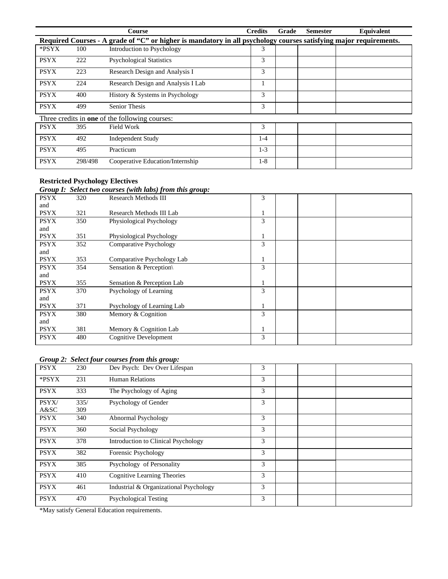|             |         | <b>Course</b>                                                                                                     | <b>Credits</b> | Grade | <b>Semester</b> | Equivalent |
|-------------|---------|-------------------------------------------------------------------------------------------------------------------|----------------|-------|-----------------|------------|
|             |         | Required Courses - A grade of "C" or higher is mandatory in all psychology courses satisfying major requirements. |                |       |                 |            |
| *PSYX       | 100     | Introduction to Psychology                                                                                        | 3              |       |                 |            |
| <b>PSYX</b> | 222     | <b>Psychological Statistics</b>                                                                                   | 3              |       |                 |            |
| <b>PSYX</b> | 223     | Research Design and Analysis I                                                                                    | 3              |       |                 |            |
| <b>PSYX</b> | 224     | Research Design and Analysis I Lab                                                                                |                |       |                 |            |
| <b>PSYX</b> | 400     | History & Systems in Psychology                                                                                   | 3              |       |                 |            |
| <b>PSYX</b> | 499     | <b>Senior Thesis</b>                                                                                              | 3              |       |                 |            |
|             |         | Three credits in <b>one</b> of the following courses:                                                             |                |       |                 |            |
| <b>PSYX</b> | 395     | Field Work                                                                                                        | 3              |       |                 |            |
| <b>PSYX</b> | 492     | <b>Independent Study</b>                                                                                          | 1-4            |       |                 |            |
| <b>PSYX</b> | 495     | Practicum                                                                                                         | $1-3$          |       |                 |            |
| <b>PSYX</b> | 298/498 | Cooperative Education/Internship                                                                                  | $1-8$          |       |                 |            |

#### **Restricted Psychology Electives**

#### *Group I: Select two courses (with labs) from this group:*

|             |     | $\sigma$ only 1. Denote the courses (man mos) from mos group. |   |  |
|-------------|-----|---------------------------------------------------------------|---|--|
| <b>PSYX</b> | 320 | <b>Research Methods III</b>                                   | 3 |  |
| and         |     |                                                               |   |  |
| <b>PSYX</b> | 321 | Research Methods III Lab                                      |   |  |
| <b>PSYX</b> | 350 | Physiological Psychology                                      | 3 |  |
| and         |     |                                                               |   |  |
| <b>PSYX</b> | 351 | Physiological Psychology                                      |   |  |
| <b>PSYX</b> | 352 | <b>Comparative Psychology</b>                                 | 3 |  |
| and         |     |                                                               |   |  |
| <b>PSYX</b> | 353 | Comparative Psychology Lab                                    |   |  |
| <b>PSYX</b> | 354 | Sensation & Perception                                        | 3 |  |
| and         |     |                                                               |   |  |
| <b>PSYX</b> | 355 | Sensation & Perception Lab                                    |   |  |
| <b>PSYX</b> | 370 | Psychology of Learning                                        | 3 |  |
| and         |     |                                                               |   |  |
| <b>PSYX</b> | 371 | Psychology of Learning Lab                                    |   |  |
| <b>PSYX</b> | 380 | Memory & Cognition                                            | 3 |  |
| and         |     |                                                               |   |  |
| <b>PSYX</b> | 381 | Memory & Cognition Lab                                        |   |  |
| <b>PSYX</b> | 480 | <b>Cognitive Development</b>                                  | 3 |  |
|             |     |                                                               |   |  |

#### *Group 2: Select four courses from this group:*

| <b>PSYX</b> | 230  | Dev Psych: Dev Over Lifespan               | 3 |  |
|-------------|------|--------------------------------------------|---|--|
| *PSYX       | 231  | <b>Human Relations</b>                     | 3 |  |
| <b>PSYX</b> | 333  | The Psychology of Aging                    | 3 |  |
| PSYX/       | 335/ | Psychology of Gender                       | 3 |  |
| A&SC        | 309  |                                            |   |  |
| <b>PSYX</b> | 340  | Abnormal Psychology                        | 3 |  |
| <b>PSYX</b> | 360  | Social Psychology                          | 3 |  |
| <b>PSYX</b> | 378  | <b>Introduction to Clinical Psychology</b> | 3 |  |
| <b>PSYX</b> | 382  | Forensic Psychology                        | 3 |  |
| <b>PSYX</b> | 385  | Psychology of Personality                  | 3 |  |
| <b>PSYX</b> | 410  | Cognitive Learning Theories                | 3 |  |
| <b>PSYX</b> | 461  | Industrial & Organizational Psychology     | 3 |  |
| <b>PSYX</b> | 470  | <b>Psychological Testing</b>               | 3 |  |

\*May satisfy General Education requirements.